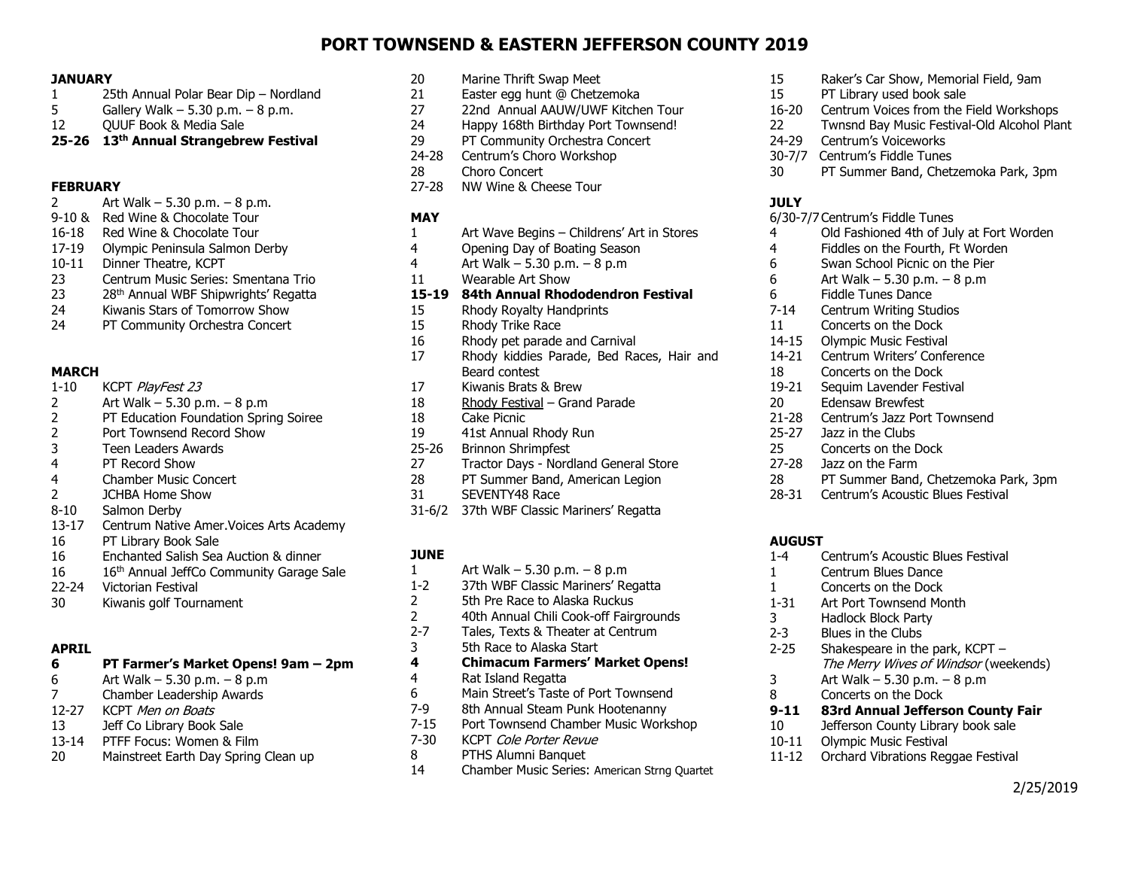# **PORT TOWNSEND & EASTERN JEFFERSON COUNTY 2019**

#### **JANUARY**

- 1 25th Annual Polar Bear Dip Nordland
- 5 Gallery Walk 5.30 p.m. 8 p.m.
- 12 QUUF Book & Media Sale
- **25-26 13 th Annual Strangebrew Festival**

#### **FEBRUARY**

- 2 Art Walk 5.30 p.m. 8 p.m.
- 9-10 & Red Wine & Chocolate Tour
- 16-18 Red Wine & Chocolate Tour
- 17-19 Olympic Peninsula Salmon Derby
- 10-11 Dinner Theatre, KCPT
- 23 Centrum Music Series: Smentana Trio
- 23 28<sup>th</sup> Annual WBF Shipwrights' Regatta
- 24 Kiwanis Stars of Tomorrow Show
- 24 PT Community Orchestra Concert

### **MARCH**

- 1-10 KCPT PlayFest 23
- 2 Art Walk 5.30 p.m. 8 p.m
- 2 PT Education Foundation Spring Soiree
- 2 Port Townsend Record Show
- 3 Teen Leaders Awards
- 4 PT Record Show
- 4 Chamber Music Concert
- 2 JCHBA Home Show
- 8-10 Salmon Derby
- 13-17 Centrum Native Amer.Voices Arts Academy
- 16 PT Library Book Sale
- 16 Enchanted Salish Sea Auction & dinner
- 16 16 16<sup>th</sup> Annual JeffCo Community Garage Sale
- 22-24 Victorian Festival
- 30 Kiwanis golf Tournament

### **APRIL**

# **6 PT Farmer's Market Opens! 9am – 2pm**

- 6 Art Walk 5.30 p.m. 8 p.m
- 7 Chamber Leadership Awards
- 12-27 KCPT Men on Boats
- 13 Jeff Co Library Book Sale
- 13-14 PTFF Focus: Women & Film
- 20 Mainstreet Earth Day Spring Clean up
- 20 Marine Thrift Swap Meet
- 21 Easter egg hunt @ Chetzemoka
- 27 22nd Annual AAUW/UWF Kitchen Tour
- 24 Happy 168th Birthday Port Townsend!
- 29 PT Community Orchestra Concert
- 24-28 Centrum's Choro Workshop
- 28 Choro Concert
- 27-28 NW Wine & Cheese Tour

### **MAY**

- 1 Art Wave Begins Childrens' Art in Stores
- 4 Opening Day of Boating Season
- 4 Art Walk 5.30 p.m. 8 p.m
- 11 Wearable Art Show

### **15-19 84th Annual Rhododendron Festival**

- 15 Rhody Royalty Handprints
- 15 Rhody Trike Race
- 16 Rhody pet parade and Carnival
- 17 Rhody kiddies Parade, Bed Races, Hair and Beard contest
- 17 Kiwanis Brats & Brew
- 18 Rhody Festival Grand Parade
- 18 Cake Picnic
- 19 41st Annual Rhody Run
- 25-26 Brinnon Shrimpfest
- 27 Tractor Days Nordland General Store
- 28 PT Summer Band, American Legion
- 31 SEVENTY48 Race
- 31-6/2 37th WBF Classic Mariners' Regatta

# **JUNE**

- 1 Art Walk 5.30 p.m. 8 p.m
- 1-2 37th WBF Classic Mariners' Regatta
- 2 5th Pre Race to Alaska Ruckus
- 2 40th Annual Chili Cook-off Fairgrounds<br>2-7 Tales. Texts & Theater at Centrum
- Tales, Texts & Theater at Centrum
- 3 5th Race to Alaska Start

#### **4 Chimacum Farmers' Market Opens!**

- 4 Rat Island Regatta
- 6 Main Street's Taste of Port Townsend
- 8th Annual Steam Punk Hootenanny
- 7-15 Port Townsend Chamber Music Workshop
- 7-30 KCPT Cole Porter Revue
- 8 PTHS Alumni Banquet
- 14 Chamber Music Series: American Strng Quartet
- 15 Raker's Car Show, Memorial Field, 9am
- 15 PT Library used book sale
- 16-20 Centrum Voices from the Field Workshops
	- 22 Twnsnd Bay Music Festival-Old Alcohol Plant
	- 24-29 Centrum's Voiceworks
	- 30-7/7 Centrum's Fiddle Tunes
	- 30 PT Summer Band, Chetzemoka Park, 3pm

# **JULY**

- 6/30-7/7Centrum's Fiddle Tunes
- 4 Old Fashioned 4th of July at Fort Worden

2/25/2019

- 4 Fiddles on the Fourth, Ft Worden
- 6 Swan School Picnic on the Pier
- 6 Art Walk 5.30 p.m. 8 p.m
- 6 Fiddle Tunes Dance
- 7-14 Centrum Writing Studios
- 11 Concerts on the Dock
- 14-15 Olympic Music Festival

25-27 Jazz in the Clubs 25 Concerts on the Dock 27-28 Jazz on the Farm

**AUGUST**

14-21 Centrum Writers' Conference 18 Concerts on the Dock

21-28 Centrum's Jazz Port Townsend

1-4 Centrum's Acoustic Blues Festival

2-25 Shakespeare in the park, KCPT –

**9-11 83rd Annual Jefferson County Fair** 10 Jefferson County Library book sale

11-12 Orchard Vibrations Reggae Festival

3 Art Walk – 5.30 p.m. – 8 p.m 8 Concerts on the Dock

10-11 Olympic Music Festival

The Merry Wives of Windsor (weekends)

1 Centrum Blues Dance 1 Concerts on the Dock 1-31 Art Port Townsend Month 3 Hadlock Block Party 2-3 Blues in the Clubs

28 PT Summer Band, Chetzemoka Park, 3pm 28-31 Centrum's Acoustic Blues Festival

19-21 Sequim Lavender Festival 20 Edensaw Brewfest